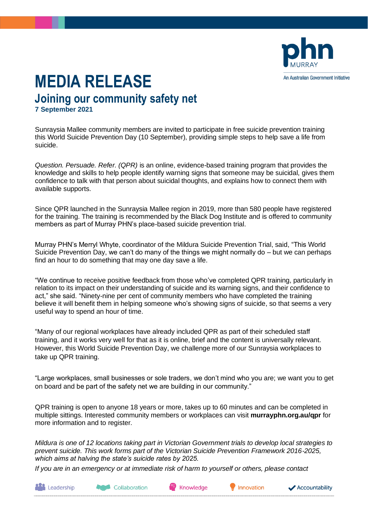

## **MEDIA RELEASE Joining our community safety net 7 September 2021**

Sunraysia Mallee community members are invited to participate in free suicide prevention training this World Suicide Prevention Day (10 September), providing simple steps to help save a life from suicide.

*Question. Persuade. Refer. (QPR)* is an online, evidence-based training program that provides the knowledge and skills to help people identify warning signs that someone may be suicidal, gives them confidence to talk with that person about suicidal thoughts, and explains how to connect them with available supports.

Since QPR launched in the Sunraysia Mallee region in 2019, more than 580 people have registered for the training. The training is recommended by the Black Dog Institute and is offered to community members as part of Murray PHN's place-based suicide prevention trial.

Murray PHN's Merryl Whyte, coordinator of the Mildura Suicide Prevention Trial, said, "This World Suicide Prevention Day, we can't do many of the things we might normally do – but we can perhaps find an hour to do something that may one day save a life.

"We continue to receive positive feedback from those who've completed QPR training, particularly in relation to its impact on their understanding of suicide and its warning signs, and their confidence to act," she said. "Ninety-nine per cent of community members who have completed the training believe it will benefit them in helping someone who's showing signs of suicide, so that seems a very useful way to spend an hour of time.

"Many of our regional workplaces have already included QPR as part of their scheduled staff training, and it works very well for that as it is online, brief and the content is universally relevant. However, this World Suicide Prevention Day, we challenge more of our Sunraysia workplaces to take up QPR training.

"Large workplaces, small businesses or sole traders, we don't mind who you are; we want you to get on board and be part of the safety net we are building in our community."

QPR training is open to anyone 18 years or more, takes up to 60 minutes and can be completed in multiple sittings. Interested community members or workplaces can visit **murrayphn.org.au/qpr** for more information and to register.

*Mildura is one of 12 locations taking part in Victorian Government trials to develop local strategies to prevent suicide. This work forms part of the Victorian Suicide Prevention Framework 2016-2025, which aims at halving the state's suicide rates by 2025.* 

*If you are in an emergency or at immediate risk of harm to yourself or others, please contact* 

**Leadership** 

Collaboration

Knowledge

Innovation